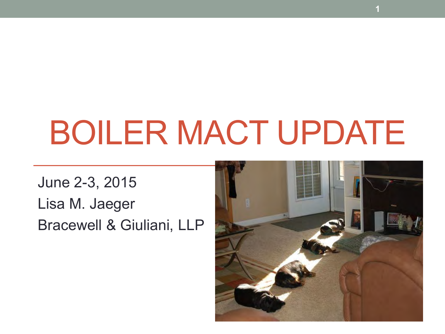# BOILER MACT UPDATE

June 2-3, 2015 Lisa M. Jaeger Bracewell & Giuliani, LLP



**1**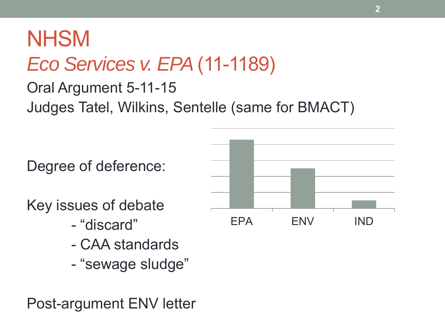### **NHSM** *Eco Services v. EPA* (11-1189)

Oral Argument 5-11-15 Judges Tatel, Wilkins, Sentelle (same for BMACT)

Degree of deference:

Key issues of debate

- "discard"
- CAA standards
- "sewage sludge"

Post-argument ENV letter

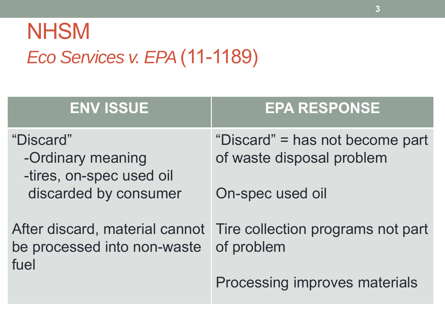### **NHSM** *Eco Services v. EPA* (11-1189)

| <b>ENV ISSUE</b>                                           | <b>EPA RESPONSE</b>                                                            |
|------------------------------------------------------------|--------------------------------------------------------------------------------|
| "Discard"<br>-Ordinary meaning<br>-tires, on-spec used oil | "Discard" = has not become part<br>of waste disposal problem                   |
| discarded by consumer                                      | On-spec used oil                                                               |
| be processed into non-waste<br>fuel                        | After discard, material cannot Tire collection programs not part<br>of problem |
|                                                            | Processing improves materials                                                  |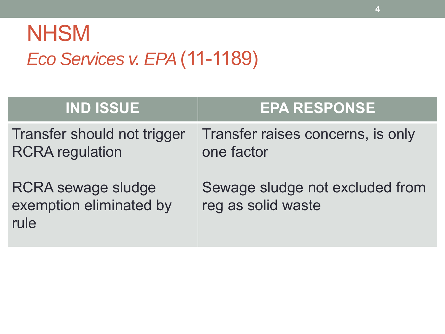### **NHSM** *Eco Services v. EPA* (11-1189)

| <b>IND ISSUE</b>                                             | <b>EPA RESPONSE</b>                                   |
|--------------------------------------------------------------|-------------------------------------------------------|
| Transfer should not trigger<br><b>RCRA</b> regulation        | Transfer raises concerns, is only<br>one factor       |
| <b>RCRA</b> sewage sludge<br>exemption eliminated by<br>rule | Sewage sludge not excluded from<br>reg as solid waste |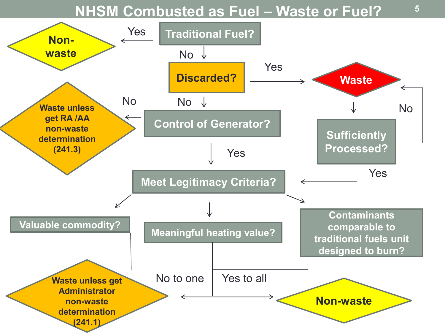#### **NHSM Combusted as Fuel – Waste or Fuel?**



**5**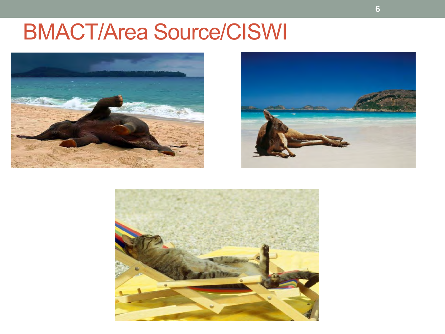#### BMACT/Area Source/CISWI





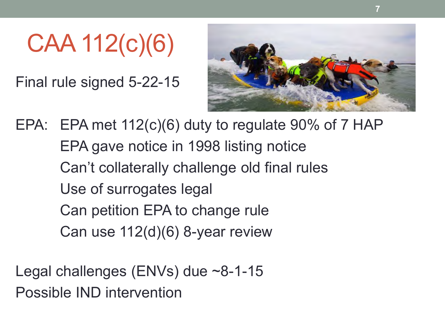CAA 112(c)(6)

Final rule signed 5-22-15



EPA: EPA met 112(c)(6) duty to regulate 90% of 7 HAP EPA gave notice in 1998 listing notice Can't collaterally challenge old final rules Use of surrogates legal Can petition EPA to change rule Can use 112(d)(6) 8-year review

Legal challenges (ENVs) due ~8-1-15 Possible IND intervention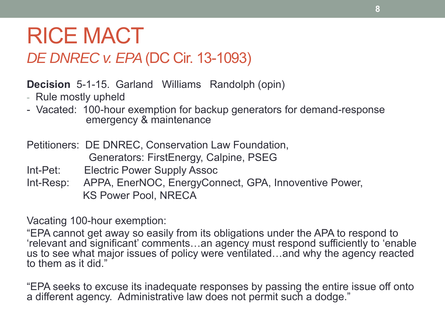#### RICE MACT *DE DNREC v. EPA* (DC Cir. 13-1093)

**Decision** 5-1-15. Garland Williams Randolph (opin)

- Rule mostly upheld
- Vacated: 100-hour exemption for backup generators for demand-response emergency & maintenance

Petitioners: DE DNREC, Conservation Law Foundation, Generators: FirstEnergy, Calpine, PSEG

- Int-Pet: Electric Power Supply Assoc
- Int-Resp: APPA, EnerNOC, EnergyConnect, GPA, Innoventive Power, KS Power Pool, NRECA

Vacating 100-hour exemption:

"EPA cannot get away so easily from its obligations under the APA to respond to 'relevant and significant' comments…an agency must respond sufficiently to 'enable us to see what major issues of policy were ventilated…and why the agency reacted to them as it did."

"EPA seeks to excuse its inadequate responses by passing the entire issue off onto a different agency. Administrative law does not permit such a dodge."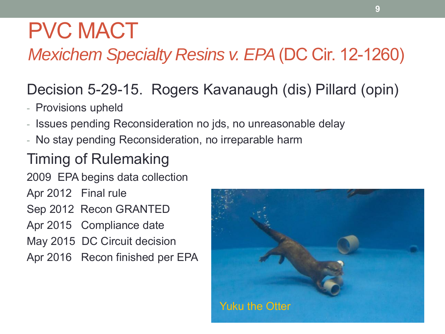### PVC MACT

#### *Mexichem Specialty Resins v. EPA* (DC Cir. 12-1260)

#### Decision 5-29-15. Rogers Kavanaugh (dis) Pillard (opin)

- Provisions upheld
- Issues pending Reconsideration no jds, no unreasonable delay
- No stay pending Reconsideration, no irreparable harm

#### Timing of Rulemaking

2009 EPA begins data collection

Apr 2012 Final rule

Sep 2012 Recon GRANTED

Apr 2015 Compliance date

May 2015 DC Circuit decision

Apr 2016 Recon finished per EPA

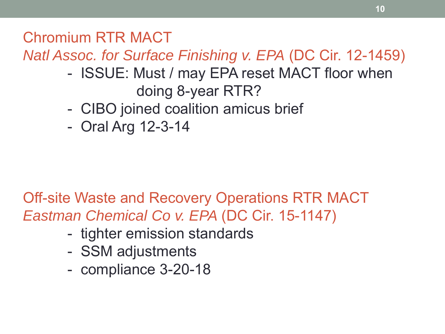Chromium RTR MACT

*Natl Assoc. for Surface Finishing v. EPA* (DC Cir. 12-1459)

- ISSUE: Must / may EPA reset MACT floor when doing 8-year RTR?
- CIBO joined coalition amicus brief
- Oral Arg 12-3-14

Off-site Waste and Recovery Operations RTR MACT *Eastman Chemical Co v. EPA* (DC Cir. 15-1147)

- tighter emission standards
- SSM adjustments
- compliance 3-20-18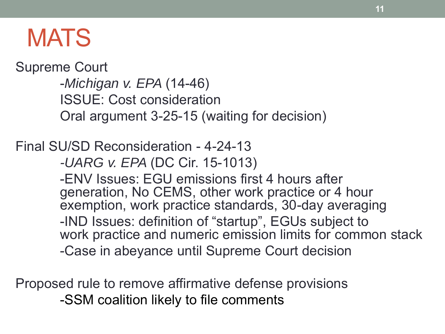### **MATS**

Supreme Court

-*Michigan v. EPA* (14-46) ISSUE: Cost consideration Oral argument 3-25-15 (waiting for decision)

Final SU/SD Reconsideration - 4-24-13

*-UARG v. EPA* (DC Cir. 15-1013)

-ENV Issues: EGU emissions first 4 hours after generation, No CEMS, other work practice or 4 hour exemption, work practice standards, 30-day averaging -IND Issues: definition of "startup", EGUs subject to work practice and numeric emission limits for common stack -Case in abeyance until Supreme Court decision

Proposed rule to remove affirmative defense provisions -SSM coalition likely to file comments